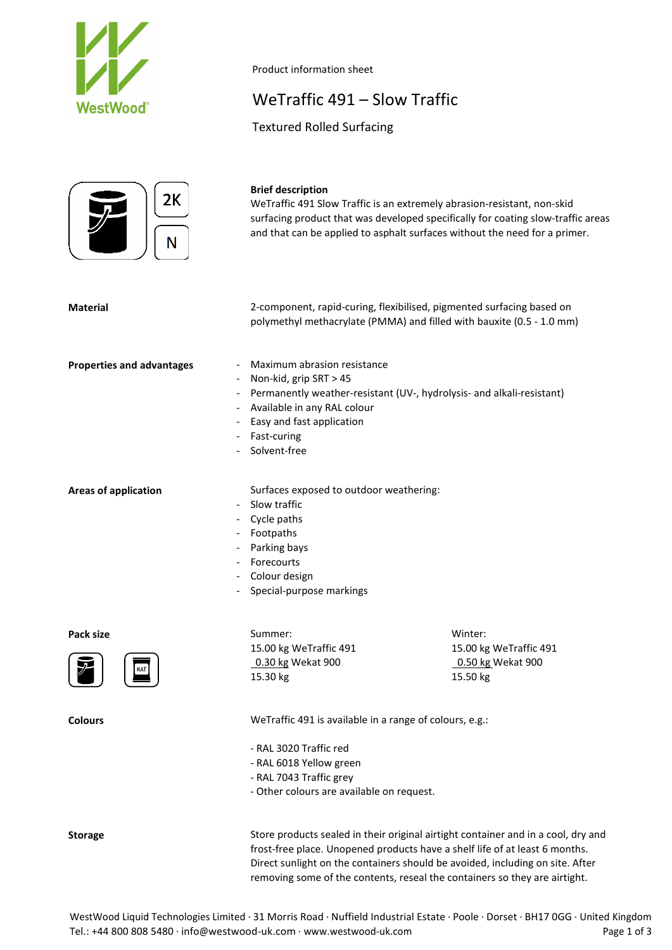

#### Product information sheet

# WeTraffic 491 – Slow Traffic

Textured Rolled Surfacing



#### **Brief description**

WeTraffic 491 Slow Traffic is an extremely abrasion-resistant, non-skid surfacing product that was developed specifically for coating slow-traffic areas and that can be applied to asphalt surfaces without the need for a primer.

| <b>Material</b>                                              | 2-component, rapid-curing, flexibilised, pigmented surfacing based on<br>polymethyl methacrylate (PMMA) and filled with bauxite (0.5 - 1.0 mm)                                                                                      |                                                                    |
|--------------------------------------------------------------|-------------------------------------------------------------------------------------------------------------------------------------------------------------------------------------------------------------------------------------|--------------------------------------------------------------------|
| <b>Properties and advantages</b><br>$\overline{\phantom{a}}$ | Maximum abrasion resistance<br>- Non-kid, grip SRT > 45<br>- Permanently weather-resistant (UV-, hydrolysis- and alkali-resistant)<br>- Available in any RAL colour<br>- Easy and fast application<br>- Fast-curing<br>Solvent-free |                                                                    |
| <b>Areas of application</b><br>$\overline{\phantom{a}}$      | Surfaces exposed to outdoor weathering:<br>Slow traffic<br>Cycle paths<br>- Footpaths<br>- Parking bays<br>- Forecourts<br>- Colour design<br>- Special-purpose markings                                                            |                                                                    |
| Pack size<br>KAT                                             | Summer:<br>15.00 kg WeTraffic 491<br>0.30 kg Wekat 900<br>15.30 kg                                                                                                                                                                  | Winter:<br>15.00 kg WeTraffic 491<br>0.50 kg Wekat 900<br>15.50 kg |
| <b>Colours</b>                                               | WeTraffic 491 is available in a range of colours, e.g.:<br>- RAL 3020 Traffic red<br>- RAL 6018 Yellow green<br>- RAL 7043 Traffic grey                                                                                             |                                                                    |

- Other colours are available on request.

**Storage** Store products sealed in their original airtight container and in a cool, dry and frost-free place. Unopened products have a shelf life of at least 6 months. Direct sunlight on the containers should be avoided, including on site. After removing some of the contents, reseal the containers so they are airtight.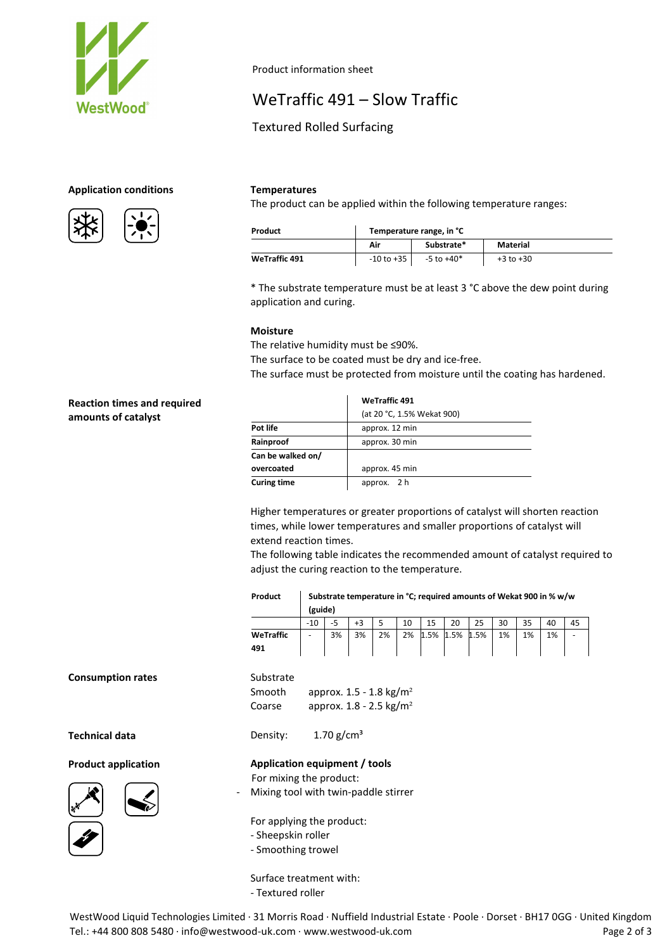

## Product information sheet

# WeTraffic 491 – Slow Traffic

## Textured Rolled Surfacing

#### **Application conditions Temperatures**





The product can be applied within the following temperature ranges:

| Product              | Temperature range, in °C |                |               |  |  |  |
|----------------------|--------------------------|----------------|---------------|--|--|--|
|                      | Air                      | Substrate*     | Material      |  |  |  |
| <b>WeTraffic 491</b> | -10 to +35               | $-5$ to $+40*$ | $+3$ to $+30$ |  |  |  |

\* The substrate temperature must be at least 3 °C above the dew point during application and curing.

#### **Moisture**

The relative humidity must be ≤90%.

The surface to be coated must be dry and ice-free.

The surface must be protected from moisture until the coating has hardened.

### **Reaction times and required amounts of catalyst**

|                    | <b>WeTraffic 491</b>       |  |  |  |  |  |  |
|--------------------|----------------------------|--|--|--|--|--|--|
|                    | (at 20 °C, 1.5% Wekat 900) |  |  |  |  |  |  |
| Pot life           | approx. 12 min             |  |  |  |  |  |  |
| Rainproof          | approx. 30 min             |  |  |  |  |  |  |
| Can be walked on/  |                            |  |  |  |  |  |  |
| overcoated         | approx. 45 min             |  |  |  |  |  |  |
| <b>Curing time</b> | approx. 2 h                |  |  |  |  |  |  |

Higher temperatures or greater proportions of catalyst will shorten reaction times, while lower temperatures and smaller proportions of catalyst will extend reaction times.

The following table indicates the recommended amount of catalyst required to adjust the curing reaction to the temperature.

| Product          | Substrate temperature in °C; required amounts of Wekat 900 in % w/w<br>(guide) |    |    |    |    |      |      |      |    |    |    |  |
|------------------|--------------------------------------------------------------------------------|----|----|----|----|------|------|------|----|----|----|--|
|                  | $-10$                                                                          |    | +3 |    | 10 | 15   | 20   | 25   | 30 | 35 | 40 |  |
| WeTraffic<br>491 | -                                                                              | 3% | 3% | 2% | 2% | 1.5% | 1.5% | 1.5% | 1% | 1% | 1% |  |

**Technical data** Density: 1.70 g/cm<sup>3</sup>

### **Product application Application equipment / tools**





For applying the product:

For mixing the product:

Smooth approx.  $1.5 - 1.8$  kg/m<sup>2</sup> Coarse approx.  $1.8 - 2.5$  kg/m<sup>2</sup>

Mixing tool with twin-paddle stirrer

- Sheepskin roller

**Substrate** 

- Smoothing trowel

Surface treatment with:

- Textured roller

WestWood Liquid Technologies Limited · 31 Morris Road · Nuffield Industrial Estate · Poole · Dorset · BH17 0GG · United Kingdom Tel.: +44 800 808 5480 · info@westwood-uk.com · www.westwood-uk.com example are a major control Page 2 of 3